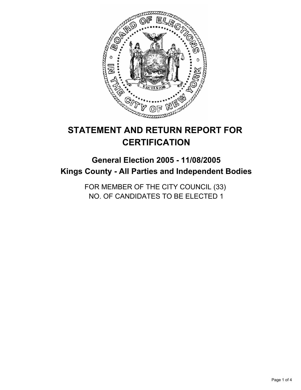

# **STATEMENT AND RETURN REPORT FOR CERTIFICATION**

# **General Election 2005 - 11/08/2005 Kings County - All Parties and Independent Bodies**

FOR MEMBER OF THE CITY COUNCIL (33) NO. OF CANDIDATES TO BE ELECTED 1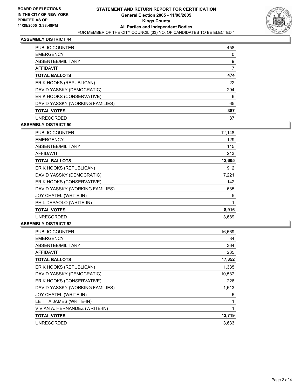

### **ASSEMBLY DISTRICT 44**

| <b>PUBLIC COUNTER</b>           | 458 |  |
|---------------------------------|-----|--|
| <b>EMERGENCY</b>                |     |  |
| ABSENTEE/MILITARY               | 9   |  |
| AFFIDAVIT                       |     |  |
| <b>TOTAL BALLOTS</b>            | 474 |  |
| ERIK HOOKS (REPUBLICAN)         | 22  |  |
| DAVID YASSKY (DEMOCRATIC)       | 294 |  |
| ERIK HOOKS (CONSERVATIVE)       | 6   |  |
| DAVID YASSKY (WORKING FAMILIES) | 65  |  |
| <b>TOTAL VOTES</b>              | 387 |  |
| <b>UNRECORDED</b>               | 87  |  |

## **ASSEMBLY DISTRICT 50**

| PUBLIC COUNTER                  | 12,148 |  |
|---------------------------------|--------|--|
| <b>EMERGENCY</b>                | 129    |  |
| ABSENTEE/MILITARY               | 115    |  |
| AFFIDAVIT                       | 213    |  |
| <b>TOTAL BALLOTS</b>            | 12,605 |  |
| ERIK HOOKS (REPUBLICAN)         | 912    |  |
| DAVID YASSKY (DEMOCRATIC)       | 7,221  |  |
| ERIK HOOKS (CONSERVATIVE)       | 142    |  |
| DAVID YASSKY (WORKING FAMILIES) | 635    |  |
| JOY CHATEL (WRITE-IN)           | 5      |  |
| PHIL DEPAOLO (WRITE-IN)         |        |  |
| <b>TOTAL VOTES</b>              | 8,916  |  |
| <b>UNRECORDED</b>               | 3,689  |  |

#### **ASSEMBLY DISTRICT 52**

| PUBLIC COUNTER                  | 16,669 |
|---------------------------------|--------|
| <b>EMERGENCY</b>                | 84     |
| ABSENTEE/MILITARY               | 364    |
| <b>AFFIDAVIT</b>                | 235    |
| <b>TOTAL BALLOTS</b>            | 17,352 |
| ERIK HOOKS (REPUBLICAN)         | 1,335  |
| DAVID YASSKY (DEMOCRATIC)       | 10,537 |
| ERIK HOOKS (CONSERVATIVE)       | 226    |
| DAVID YASSKY (WORKING FAMILIES) | 1,613  |
| JOY CHATEL (WRITE-IN)           | 6      |
| LETITIA JAMES (WRITE-IN)        |        |
| VIVIAN A. HERNANDEZ (WRITE-IN)  |        |
| <b>TOTAL VOTES</b>              | 13,719 |
| <b>UNRECORDED</b>               | 3,633  |
|                                 |        |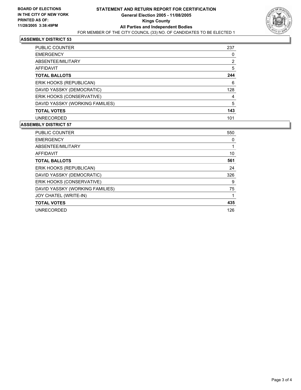

#### **ASSEMBLY DISTRICT 53**

| PUBLIC COUNTER                  | 237 |
|---------------------------------|-----|
| <b>EMERGENCY</b>                |     |
| ABSENTEE/MILITARY               | 2   |
| <b>AFFIDAVIT</b>                | 5   |
| <b>TOTAL BALLOTS</b>            | 244 |
| ERIK HOOKS (REPUBLICAN)         | 6   |
| DAVID YASSKY (DEMOCRATIC)       | 128 |
| ERIK HOOKS (CONSERVATIVE)       |     |
| DAVID YASSKY (WORKING FAMILIES) | 5   |
| <b>TOTAL VOTES</b>              | 143 |
| <b>UNRECORDED</b>               | 101 |

#### **ASSEMBLY DISTRICT 57**

| <b>PUBLIC COUNTER</b>           | 550 |
|---------------------------------|-----|
| <b>EMERGENCY</b>                |     |
| ABSENTEE/MILITARY               |     |
| <b>AFFIDAVIT</b>                | 10  |
| <b>TOTAL BALLOTS</b>            | 561 |
| ERIK HOOKS (REPUBLICAN)         | 24  |
| DAVID YASSKY (DEMOCRATIC)       | 326 |
| ERIK HOOKS (CONSERVATIVE)       | 9   |
| DAVID YASSKY (WORKING FAMILIES) | 75  |
| JOY CHATEL (WRITE-IN)           |     |
| <b>TOTAL VOTES</b>              | 435 |
| <b>UNRECORDED</b>               | 126 |